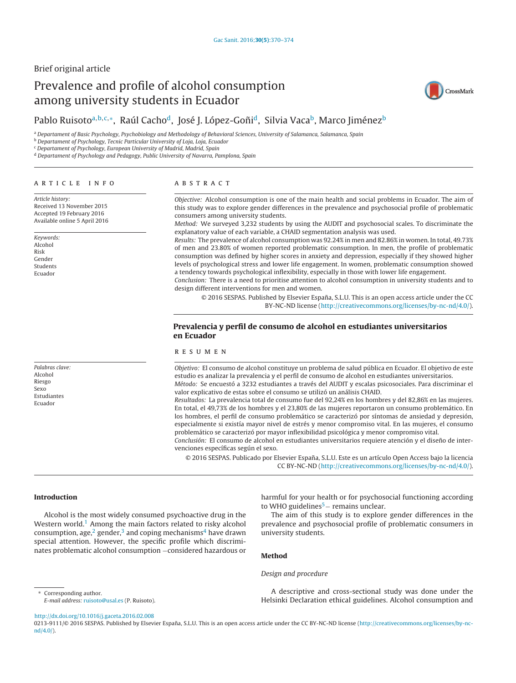# Brief original article

# Prevalence and profile of alcohol consumption among university students in Ecuador



# Pablo Ruisoto<sup>a, b, c,</sup>\*, Raúl Cacho<sup>d</sup>, José J. López-Goñi<sup>d</sup>, Silvia Vaca<sup>b</sup>, Marco Jiménez<sup>b</sup>

a Departament of Basic Psychology, Psychobiology and Methodology of Behavioral Sciences, University of Salamanca, Salamanca, Spain

**b Departament of Psychology, Tecnic Particular University of Loja, Loja, Ecuador** 

<sup>c</sup> Departament of Psychology, European University of Madrid, Madrid, Spain

<sup>d</sup> Departament of Psychology and Pedagogy, Public University of Navarra, Pamplona, Spain

#### a r t i c l e i n f o

Article history: Received 13 November 2015 Accepted 19 February 2016 Available online 5 April 2016

Keywords: Alcohol Risk Gender Students Ecuador

Palabras clave: Alcohol Riesgo Sexo Estudiantes Ecuador

#### A B S T R A C T

Objective: Alcohol consumption is one of the main health and social problems in Ecuador. The aim of this study was to explore gender differences in the prevalence and psychosocial profile of problematic consumers among university students.

Method: We surveyed 3,232 students by using the AUDIT and psychosocial scales. To discriminate the explanatory value of each variable, a CHAID segmentation analysis was used.

Results: The prevalence of alcohol consumption was 92.24% in men and 82.86% in women. In total, 49.73% of men and 23.80% of women reported problematic consumption. In men, the profile of problematic consumption was defined by higher scores in anxiety and depression, especially if they showed higher levels of psychological stress and lower life engagement. In women, problematic consumption showed a tendency towards psychological inflexibility, especially in those with lower life engagement.

Conclusion: There is a need to prioritise attention to alcohol consumption in university students and to design different interventions for men and women.

© 2016 SESPAS. Published by Elsevier España, S.L.U. This is an open access article under the CC BY-NC-ND license [\(http://creativecommons.org/licenses/by-nc-nd/4.0/](http://creativecommons.org/licenses/by-nc-nd/4.0/)).

### **Prevalencia y perfil de consumo de alcohol en estudiantes universitarios en Ecuador**

#### r e s u m e n

Objetivo: El consumo de alcohol constituye un problema de salud pública en Ecuador. El objetivo de este estudio es analizar la prevalencia y el perfil de consumo de alcohol en estudiantes universitarios. Método: Se encuestó a 3232 estudiantes a través del AUDIT y escalas psicosociales. Para discriminar el

valor explicativo de estas sobre el consumo se utilizó un análisis CHAID. Resultados: La prevalencia total de consumo fue del 92,24% en los hombres y del 82,86% en las mujeres. En total, el 49,73% de los hombres y el 23,80% de las mujeres reportaron un consumo problemático. En los hombres, el perfil de consumo problemático se caracterizó por síntomas de ansiedad y depresión, especialmente si existía mayor nivel de estrés y menor compromiso vital. En las mujeres, el consumo problemático se caracterizó por mayor inflexibilidad psicológica y menor compromiso vital.

Conclusión: El consumo de alcohol en estudiantes universitarios requiere atención y el diseño de intervenciones específicas según el sexo.

© 2016 SESPAS. Publicado por Elsevier España, S.L.U. Este es un artículo Open Access bajo la licencia CC BY-NC-ND [\(http://creativecommons.org/licenses/by-nc-nd/4.0/](http://creativecommons.org/licenses/by-nc-nd/4.0/)).

#### **Introduction**

Alcohol is the most widely consumed psychoactive drug in the Western world.<sup>[1](#page-4-0)</sup> Among the main factors related to risky alcohol consumption, age, $2$  gender, $3$  and coping mechanisms<sup>[4](#page-4-0)</sup> have drawn special attention. However, the specific profile which discriminates problematic alcohol consumption −considered hazardous or harmful for your health or for psychosocial functioning according to WHO guidelines<sup>5</sup> – remains unclear.

The aim of this study is to explore gender differences in the prevalence and psychosocial profile of problematic consumers in university students.

#### **Method**

#### Design and procedure

A descriptive and cross-sectional study was done under the Helsinki Declaration ethical guidelines. Alcohol consumption and

∗ Corresponding author. E-mail address: [ruisoto@usal.es](mailto:ruisoto@usal.es) (P. Ruisoto).

[http://dx.doi.org/10.1016/j.gaceta.2016.02.008](dx.doi.org/10.1016/j.gaceta.2016.02.008)

0213-9111/© 2016 SESPAS. Published by Elsevier España, S.L.U. This is an open access article under the CC BY-NC-ND license [\(http://creativecommons.org/licenses/by-nc](http://creativecommons.org/licenses/by-nc-nd/4.0/)[nd/4.0/\)](http://creativecommons.org/licenses/by-nc-nd/4.0/).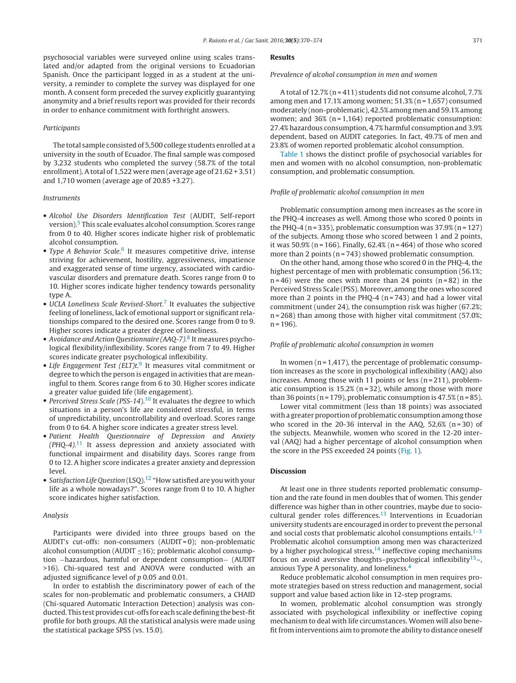psychosocial variables were surveyed online using scales translated and/or adapted from the original versions to Ecuadorian Spanish. Once the participant logged in as a student at the university, a reminder to complete the survey was displayed for one month. A consent form preceded the survey explicitly guarantying anonymity and a brief results report was provided for their records in order to enhance commitment with forthright answers.

#### Participants

The total sample consisted of 5,500 college students enrolled at a university in the south of Ecuador. The final sample was composed by 3,232 students who completed the survey (58.7% of the total enrollment). A total of 1,522 were men (average age of 21.62 + 3.51) and 1,710 women (average age of 20.85 +3.27).

#### Instruments

- Alcohol Use Disorders Identification Test (AUDIT, Self-report version)[.5](#page-4-0) This scale evaluates alcohol consumption. Scores range from 0 to 40. Higher scores indicate higher risk of problematic alcohol consumption.
- Type A Behavior Scale.<sup>[6](#page-4-0)</sup> It measures competitive drive, intense striving for achievement, hostility, aggressiveness, impatience and exaggerated sense of time urgency, associated with cardiovascular disorders and premature death. Scores range from 0 to 10. Higher scores indicate higher tendency towards personality type A.
- $\bullet$  UCLA Loneliness Scale Revised-Short.<sup>[7](#page-4-0)</sup> It evaluates the subiective feeling of loneliness, lack of emotional support or significant relationships compared to the desired one. Scores range from 0 to 9. Higher scores indicate a greater degree of loneliness.
- Avoidance and Action Questionnaire (AAQ-7).<sup>[8](#page-4-0)</sup> It measures psychological flexibility/inflexibility. Scores range from 7 to 49. Higher scores indicate greater psychological inflexibility.
- Life Engagement Test (ELT)t.<sup>[9](#page-4-0)</sup> It measures vital commitment or degree to which the person is engaged in activities that are meaningful to them. Scores range from 6 to 30. Higher scores indicate a greater value guided life (life engagement).
- Perceived Stress Scale (PSS-14).<sup>10</sup> It evaluates the degree to which situations in a person's life are considered stressful, in terms of unpredictability, uncontrollability and overload. Scores range from 0 to 64. A higher score indicates a greater stress level.
- Patient Health Questionnaire of Depression and Anxiety  $(PHQ-4).<sup>11</sup>$  $(PHQ-4).<sup>11</sup>$  $(PHQ-4).<sup>11</sup>$  It assess depression and anxiety associated with functional impairment and disability days. Scores range from 0 to 12. A higher score indicates a greater anxiety and depression level.
- Satisfaction Life Question  $(LSO)$ .<sup>[12](#page-4-0)</sup> "How satisfied are you with your life as a whole nowadays?". Scores range from 0 to 10. A higher score indicates higher satisfaction.

#### Analysis

Participants were divided into three groups based on the AUDIT's cut-offs: non-consumers (AUDIT = 0); non-problematic alcohol consumption (AUDIT  $\leq$ 16); problematic alcohol consumption −hazardous, harmful or dependent consumption− (AUDIT >16). Chi-squared test and ANOVA were conducted with an adjusted significance level of p 0.05 and 0.01.

In order to establish the discriminatory power of each of the scales for non-problematic and problematic consumers, a CHAID (Chi-squared Automatic Interaction Detection) analysis was conducted. This test provides cut-offs for each scale defining the best-fit profile for both groups. All the statistical analysis were made using the statistical package SPSS (vs. 15.0).

#### **Results**

Prevalence of alcohol consumption in men and women

A total of 12.7% (n = 411) students did not consume alcohol, 7.7% among men and  $17.1\%$  among women;  $51.3\%$  (n = 1,657) consumed moderately (non-problematic), 42.5% among men and 59.1% among women; and  $36\%$  (n = 1,164) reported problematic consumption: 27.4% hazardous consumption, 4.7% harmful consumption and 3.9% dependent, based on AUDIT categories. In fact, 49.7% of men and 23.8% of women reported problematic alcohol consumption.

[Table](#page-3-0) 1 shows the distinct profile of psychosocial variables for men and women with no alcohol consumption, non-problematic consumption, and problematic consumption.

#### Profile of problematic alcohol consumption in men

Problematic consumption among men increases as the score in the PHQ-4 increases as well. Among those who scored 0 points in the PHQ-4 (n = 335), problematic consumption was  $37.9\%$  (n = 127) of the subjects. Among those who scored between 1 and 2 points, it was  $50.9\%$  (n = 166). Finally,  $62.4\%$  (n = 464) of those who scored more than 2 points (n = 743) showed problematic consumption.

On the other hand, among those who scored 0 in the PHQ-4, the highest percentage of men with problematic consumption (56.1%;  $n = 46$ ) were the ones with more than 24 points  $(n = 82)$  in the Perceived Stress Scale (PSS). Moreover, among the ones who scored more than 2 points in the PHQ-4  $(n=743)$  and had a lower vital commitment (under 24), the consumption risk was higher (67.2%; n = 268) than among those with higher vital commitment (57.0%;  $n = 196$ ).

#### Profile of problematic alcohol consumption in women

In women ( $n = 1,417$ ), the percentage of problematic consumption increases as the score in psychological inflexibility (AAQ) also increases. Among those with 11 points or less ( $n = 211$ ), problematic consumption is  $15.2%$  (n = 32), while among those with more than 36 points ( $n = 179$ ), problematic consumption is  $47.5\%$  ( $n = 85$ ).

Lower vital commitment (less than 18 points) was associated with a greater proportion of problematic consumption among those who scored in the 20-36 interval in the AAQ,  $52,6\%$  (n=30) of the subjects. Meanwhile, women who scored in the 12-20 interval (AAQ) had a higher percentage of alcohol consumption when the score in the PSS exceeded 24 points [\(Fig.](#page-2-0) 1).

#### **Discussion**

At least one in three students reported problematic consumption and the rate found in men doubles that of women. This gender difference was higher than in other countries, maybe due to socio-cultural gender roles differences.<sup>[13](#page-4-0)</sup> Interventions in Ecuadorian university students are encouraged in order to prevent the personal and social costs that problematic alcohol consumptions entails. $1-3$ Problematic alcohol consumption among men was characterized by a higher psychological stress, $14$  ineffective coping mechanisms focus on avoid aversive thoughts–psychological inflexibility<sup>15</sup>–, anxious Type A personality, and loneliness.[4](#page-4-0)

Reduce problematic alcohol consumption in men requires promote strategies based on stress reduction and management, social support and value based action like in 12-step programs.

In women, problematic alcohol consumption was strongly associated with psychological inflexibility or ineffective coping mechanism to deal with life circumstances. Women will also benefit from interventions aim to promote the ability to distance oneself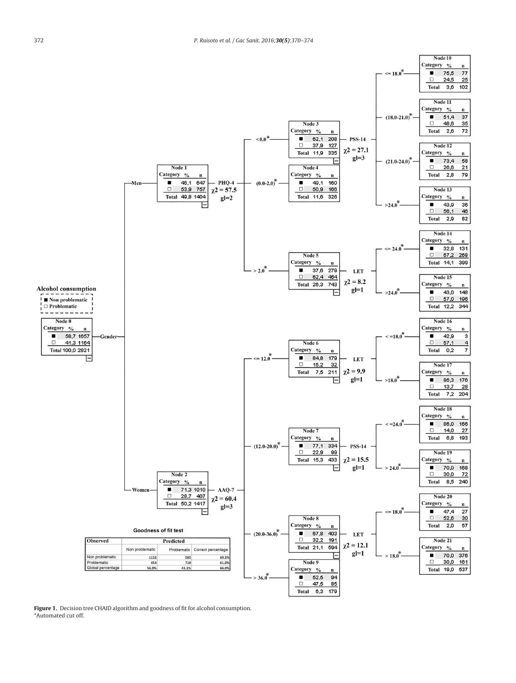<span id="page-2-0"></span>

**Figure 1.** Decision tree CHAID algorithm and goodness of fit for alcohol consumption. \*Automated cut off.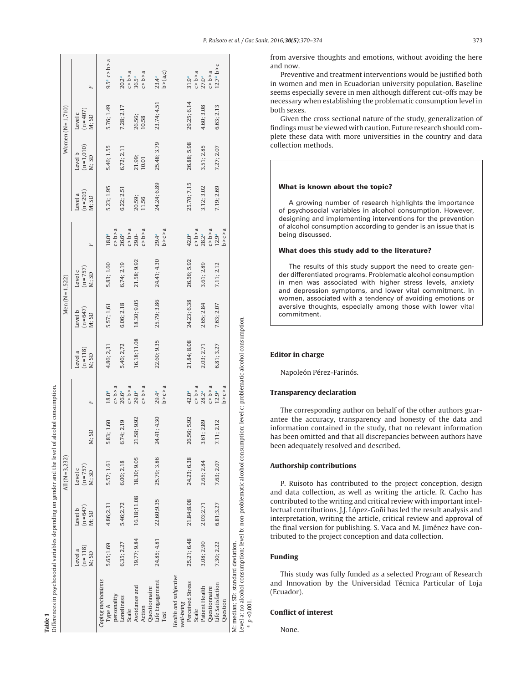| í |  |
|---|--|
| ≗ |  |
| ∍ |  |
| J |  |
|   |  |

Differences in psychosocial variables depending on gender and the level of alcohol consumption. Differences in psychosocial variables depending on gender and the level of alcohol consumption.

<span id="page-3-0"></span>

| Women $(N=1,710)$  | $\mathbf{L}$                    | $9.5^a$ c > b > a                          |                     | $20.2^a$<br>$c > b > a$<br>$36.5^a$<br>$c > b > a$                                  | $23.4a$<br>b > (a,c)    |                                                         | $31.9a$<br>$C > b > a$<br>$C > b > a$                                         | $12.7a$ b>c                   |
|--------------------|---------------------------------|--------------------------------------------|---------------------|-------------------------------------------------------------------------------------|-------------------------|---------------------------------------------------------|-------------------------------------------------------------------------------|-------------------------------|
|                    | $(n = 407)$<br>M: SD<br>Level c | 5.76; 1.49                                 | 7.28; 2.17          | 26.56;<br>10.58                                                                     | 23.74; 4.51             | 29.25; 6.14                                             | 4.60; 3.08                                                                    | 6.63; 2.13                    |
|                    | $(n=1,010)$<br>M; SD<br>Level b | 5.46; 1.55                                 | 6.72; 2.11          | 21.99;<br>10.01                                                                     | 25.48; 3.79             | 26.88; 5.98                                             | 3.51; 2.85                                                                    | 7.27; 2.07                    |
|                    | $(n = 293)$<br>M: SD<br>Level a | 5.23; 1.95                                 | 6.22; 2.51          | 20.59;<br>11.56                                                                     | 24.24; 6.89             | 25.70; 7.15                                             | 3.12; 3.02                                                                    | 7.19; 2.69                    |
| Men $(N = 1, 522)$ |                                 | $18.0^{a}$                                 |                     | $c > b > a$<br>$26.6a$<br>$29.0-$<br>$c > b > a$                                    | b > c > a<br>$29.4^{a}$ | 42.0 <sup>a</sup>                                       | $c > b > a$<br>$28.2a$<br>$c > b > a$<br>$12.9a$                              | b > c > a                     |
|                    | $(n = 757)$<br>M: SD<br>Level c | 5.83; 1.60                                 | 6.74; 2.19          | 21.58; 9.92                                                                         | 24.41; 4.30             | 26.56; 5.92                                             | 3.61; 2.89                                                                    | 7.11; 2.12                    |
|                    | $(n=647)$<br>M: SD<br>Level b   | 5.57; 1,61                                 | 6.06; 2.18          | 18.30; 9.05                                                                         | 25.79; 3.86             | 24.23; 6.38                                             | 2.65; 2.84                                                                    | 7.63; 2.07                    |
|                    | $(n = 118)$<br>M; SD<br>Level a | 4.86; 2,31                                 | 5.46; 2,72          | 16.18;11.08                                                                         | 22.60; 9.35             | 21.84; 8.08                                             | 2.03; 2.71                                                                    | 6.81; 3.27                    |
| All $(N = 3, 232)$ | $\overline{r}$                  |                                            |                     | $\begin{array}{l} 18.0^a \\ c > b > a \\ 26.6^a \\ 29.0^a \\ c > b > a \end{array}$ | $29.4a$<br>b>c>a        |                                                         | $42.0a$<br>$0.5a$<br>$0.2a$<br>$0.5a$<br>$0.5a$<br>$0.5a$<br>$0.5a$<br>$0.5a$ |                               |
|                    | M; SD                           | 1.60<br>5.83;                              | 2.19<br>6.74;       | 21.58; 9.92                                                                         | 24.41; 4.30             | 26.56; 5.92                                             | 2.89<br>3.61                                                                  | 2.12<br>7.11;                 |
|                    | $(n = 757)$<br>Level c<br>M: SD | 5.57; 1.61                                 | 6.06; 2.18          | 18.30; 9.05                                                                         | 25.79; 3.86             | 24.23; 6.38                                             | 2.65; 2.84                                                                    | 7.63; 2.07                    |
|                    | $(n = 647)$<br>Level b<br>M; SD | 4.86;2.31                                  | 5.46;2.72           | 16.18;11.08                                                                         | 22.60;9.35              | 21.84;8.08                                              | 2.03;2.71                                                                     | 6.81;3.27                     |
|                    | $(n=118)$<br>Level a<br>M; SD   | 5.65;1.69                                  | 6.35; 2.27          | 19.77; 9.84                                                                         | 24.85; 4.81             | 25.21; 6.48                                             | 3.08; 2.90                                                                    | 7.30; 2.22                    |
|                    |                                 | Coping mechanisms<br>personality<br>Type A | Loneliness<br>Scale | Avoidance and<br>Questionnaire<br>Action                                            | Life Engagement<br>Test | Health and subjective<br>Perceived Stress<br>well-being | Patient Health<br>Questionnaire<br>Scale                                      | Life Satisfaction<br>Question |

from aversive thoughts and emotions, without avoiding the here and now.

Preventive and treatment interventions would be justified both in women and men in Ecuadorian university population. Baseline seems especially severe in men although different cut-offs may be necessary when establishing the problematic consumption level in both sexes.

Given the cross sectional nature of the study, generalization of findings must be viewed with caution. Future research should complete these data with more universities in the country and data collection methods.

#### **What is known about the topic?**

A growing number of research highlights the importance of psychosocial variables in alcohol consumption. However, designing and implementing interventions for the prevention of alcohol consumption according to gender is an issue that is being discussed.

#### **What does this study add to the literature?**

The results of this study support the need to create gender differentiated programs. Problematic alcohol consumption in men was associated with higher stress levels, anxiety and depression symptoms, and lower vital commitment. In women, associated with a tendency of avoiding emotions or aversive thoughts, especially among those with lower vital commitment.

#### **Editor in charge**

Napoleón Pérez-Farinós.

antee the accuracy, transparency and honesty of the data and information contained in the study, that no relevant information has been omitted and that all discrepancies between authors have been adequately resolved and described.

#### **Authorship contributions**

P. Ruisoto has contributed to the project conception, design and data collection, as well as writing the article. R. Cacho has contributed to the writing and critical review with important intellectual contributions. J.J. López-Goñi has led the result analysis and interpretation, writing the article, critical review and approval of the final version for publishing. S. Vaca and M. Jiménez have contributed to the project conception and data collection.

#### **Funding**

Level a: no alcohol consumption; level b: non-problematic alcohol consumption; level c: problematic alcohol consumption.

Level a: no alcohol consumption; level b: non-problematic alcohol consumption; level c: problematic alcohol consumption.

 $a$   $p < 0.001$ a  $p < 0.001$ .

This study was fully funded as a selected Program of Research and Innovation by the Universidad Técnica Particular of Loja (Ecuador).

# **Conflict of interest**

None.

# **Transparency declaration**

The corresponding author on behalf of the other authors guar-